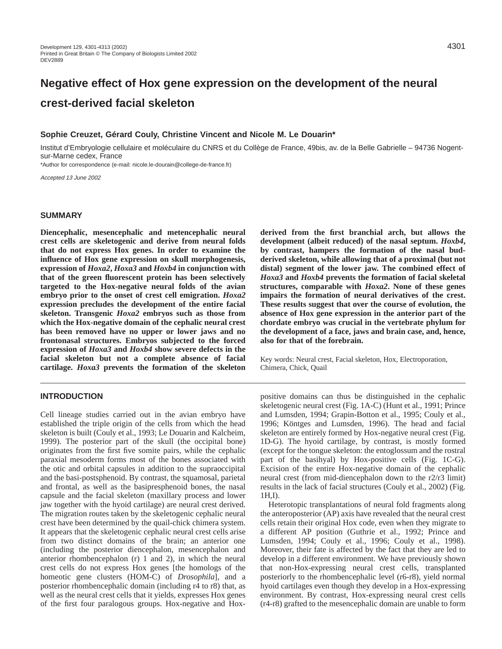# **Negative effect of Hox gene expression on the development of the neural crest-derived facial skeleton**

## **Sophie Creuzet, Gérard Couly, Christine Vincent and Nicole M. Le Douarin\***

Institut d'Embryologie cellulaire et moléculaire du CNRS et du Collège de France, 49bis, av. de la Belle Gabrielle – 94736 Nogentsur-Marne cedex, France

\*Author for correspondence (e-mail: nicole.le-dourain@college-de-france.fr)

Accepted 13 June 2002

## **SUMMARY**

**Diencephalic, mesencephalic and metencephalic neural crest cells are skeletogenic and derive from neural folds that do not express Hox genes. In order to examine the influence of Hox gene expression on skull morphogenesis, expression of** *Hoxa2***,** *Hoxa3* **and** *Hoxb4* **in conjunction with that of the green fluorescent protein has been selectively targeted to the Hox-negative neural folds of the avian embryo prior to the onset of crest cell emigration.** *Hoxa2* **expression precludes the development of the entire facial skeleton. Transgenic** *Hoxa2* **embryos such as those from which the Hox-negative domain of the cephalic neural crest has been removed have no upper or lower jaws and no frontonasal structures. Embryos subjected to the forced expression of** *Hoxa3* **and** *Hoxb4* **show severe defects in the facial skeleton but not a complete absence of facial cartilage.** *Hoxa3* **prevents the formation of the skeleton**

# **INTRODUCTION**

Cell lineage studies carried out in the avian embryo have established the triple origin of the cells from which the head skeleton is built (Couly et al., 1993; Le Douarin and Kalcheim, 1999). The posterior part of the skull (the occipital bone) originates from the first five somite pairs, while the cephalic paraxial mesoderm forms most of the bones associated with the otic and orbital capsules in addition to the supraoccipital and the basi-postsphenoid. By contrast, the squamosal, parietal and frontal, as well as the basipresphenoid bones, the nasal capsule and the facial skeleton (maxillary process and lower jaw together with the hyoid cartilage) are neural crest derived. The migration routes taken by the skeletogenic cephalic neural crest have been determined by the quail-chick chimera system. It appears that the skeletogenic cephalic neural crest cells arise from two distinct domains of the brain; an anterior one (including the posterior diencephalon, mesencephalon and anterior rhombencephalon (r) 1 and 2), in which the neural crest cells do not express Hox genes [the homologs of the homeotic gene clusters (HOM-C) of *Drosophila*], and a posterior rhombencephalic domain (including r4 to r8) that, as well as the neural crest cells that it yields, expresses Hox genes of the first four paralogous groups. Hox-negative and Hox-

**derived from the first branchial arch, but allows the development (albeit reduced) of the nasal septum.** *Hoxb4***, by contrast, hampers the formation of the nasal budderived skeleton, while allowing that of a proximal (but not distal) segment of the lower jaw. The combined effect of** *Hoxa3* **and** *Hoxb4* **prevents the formation of facial skeletal structures, comparable with** *Hoxa2***. None of these genes impairs the formation of neural derivatives of the crest. These results suggest that over the course of evolution, the absence of Hox gene expression in the anterior part of the chordate embryo was crucial in the vertebrate phylum for the development of a face, jaws and brain case, and, hence, also for that of the forebrain.**

Key words: Neural crest, Facial skeleton, Hox, Electroporation, Chimera, Chick, Quail

positive domains can thus be distinguished in the cephalic skeletogenic neural crest (Fig. 1A-C) (Hunt et al., 1991; Prince and Lumsden, 1994; Grapin-Botton et al., 1995; Couly et al., 1996; Köntges and Lumsden, 1996). The head and facial skeleton are entirely formed by Hox-negative neural crest (Fig. 1D-G). The hyoid cartilage, by contrast, is mostly formed (except for the tongue skeleton: the entoglossum and the rostral part of the basihyal) by Hox-positive cells (Fig. 1C-G). Excision of the entire Hox-negative domain of the cephalic neural crest (from mid-diencephalon down to the r2/r3 limit) results in the lack of facial structures (Couly et al., 2002) (Fig. 1H,I).

Heterotopic transplantations of neural fold fragments along the anteroposterior (AP) axis have revealed that the neural crest cells retain their original Hox code, even when they migrate to a different AP position (Guthrie et al., 1992; Prince and Lumsden, 1994; Couly et al., 1996; Couly et al., 1998). Moreover, their fate is affected by the fact that they are led to develop in a different environment. We have previously shown that non-Hox-expressing neural crest cells, transplanted posteriorly to the rhombencephalic level (r6-r8), yield normal hyoid cartilages even though they develop in a Hox-expressing environment. By contrast, Hox-expressing neural crest cells (r4-r8) grafted to the mesencephalic domain are unable to form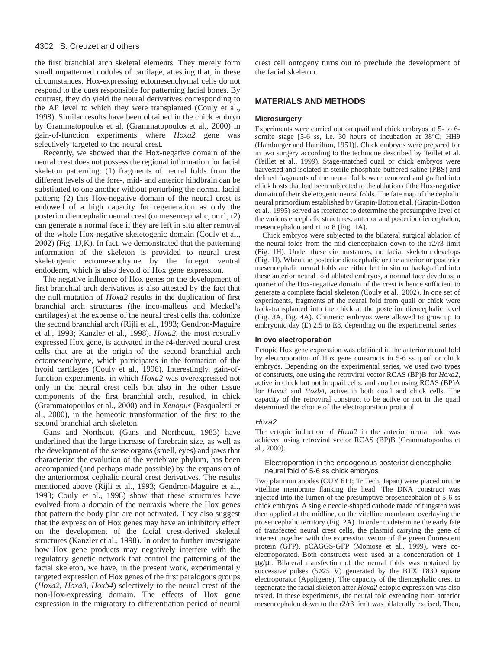the first branchial arch skeletal elements. They merely form small unpatterned nodules of cartilage, attesting that, in these circumstances, Hox-expressing ectomesenchymal cells do not respond to the cues responsible for patterning facial bones. By contrast, they do yield the neural derivatives corresponding to the AP level to which they were transplanted (Couly et al., 1998). Similar results have been obtained in the chick embryo by Grammatopoulos et al. (Grammatopoulos et al., 2000) in gain-of-function experiments where *Hoxa2* gene was selectively targeted to the neural crest.

Recently, we showed that the Hox-negative domain of the neural crest does not possess the regional information for facial skeleton patterning: (1) fragments of neural folds from the different levels of the fore-, mid- and anterior hindbrain can be substituted to one another without perturbing the normal facial pattern; (2) this Hox-negative domain of the neural crest is endowed of a high capacity for regeneration as only the posterior diencephalic neural crest (or mesencephalic, or r1, r2) can generate a normal face if they are left in situ after removal of the whole Hox-negative skeletogenic domain (Couly et al., 2002) (Fig. 1J,K). In fact, we demonstrated that the patterning information of the skeleton is provided to neural crest skeletogenic ectomesenchyme by the foregut ventral endoderm, which is also devoid of Hox gene expression.

The negative influence of Hox genes on the development of first branchial arch derivatives is also attested by the fact that the null mutation of *Hoxa2* results in the duplication of first branchial arch structures (the inco-malleus and Meckel's cartilages) at the expense of the neural crest cells that colonize the second branchial arch (Rijli et al., 1993; Gendron-Maguire et al., 1993; Kanzler et al., 1998). *Hoxa2*, the most rostrally expressed Hox gene, is activated in the r4-derived neural crest cells that are at the origin of the second branchial arch ectomesenchyme, which participates in the formation of the hyoid cartilages (Couly et al., 1996). Interestingly, gain-offunction experiments, in which *Hoxa2* was overexpressed not only in the neural crest cells but also in the other tissue components of the first branchial arch, resulted, in chick (Grammatopoulos et al., 2000) and in *Xenopus* (Pasqualetti et al., 2000), in the homeotic transformation of the first to the second branchial arch skeleton.

Gans and Northcutt (Gans and Northcutt, 1983) have underlined that the large increase of forebrain size, as well as the development of the sense organs (smell, eyes) and jaws that characterize the evolution of the vertebrate phylum, has been accompanied (and perhaps made possible) by the expansion of the anteriormost cephalic neural crest derivatives. The results mentioned above (Rijli et al., 1993; Gendron-Maguire et al., 1993; Couly et al., 1998) show that these structures have evolved from a domain of the neuraxis where the Hox genes that pattern the body plan are not activated. They also suggest that the expression of Hox genes may have an inhibitory effect on the development of the facial crest-derived skeletal structures (Kanzler et al., 1998). In order to further investigate how Hox gene products may negatively interfere with the regulatory genetic network that control the patterning of the facial skeleton, we have, in the present work, experimentally targeted expression of Hox genes of the first paralogous groups (*Hoxa2*, *Hoxa3*, *Hoxb4*) selectively to the neural crest of the non-Hox-expressing domain. The effects of Hox gene expression in the migratory to differentiation period of neural crest cell ontogeny turns out to preclude the development of the facial skeleton.

# **MATERIALS AND METHODS**

#### **Microsurgery**

Experiments were carried out on quail and chick embryos at 5- to 6 somite stage [5-6 ss, i.e. 30 hours of incubation at 38°C; HH9 (Hamburger and Hamilton, 1951)]. Chick embryos were prepared for in ovo surgery according to the technique described by Teillet et al. (Teillet et al., 1999). Stage-matched quail or chick embryos were harvested and isolated in sterile phosphate-buffered saline (PBS) and defined fragments of the neural folds were removed and grafted into chick hosts that had been subjected to the ablation of the Hox-negative domain of their skeletogenic neural folds. The fate map of the cephalic neural primordium established by Grapin-Botton et al. (Grapin-Botton et al., 1995) served as reference to determine the presumptive level of the various encephalic structures: anterior and posterior diencephalon, mesencephalon and r1 to 8 (Fig. 1A).

Chick embryos were subjected to the bilateral surgical ablation of the neural folds from the mid-diencephalon down to the r2/r3 limit (Fig. 1H). Under these circumstances, no facial skeleton develops (Fig. 1I). When the posterior diencephalic or the anterior or posterior mesencephalic neural folds are either left in situ or backgrafted into these anterior neural fold ablated embryos, a normal face develops; a quarter of the Hox-negative domain of the crest is hence sufficient to generate a complete facial skeleton (Couly et al., 2002). In one set of experiments, fragments of the neural fold from quail or chick were back-transplanted into the chick at the posterior diencephalic level (Fig. 3A, Fig. 4A). Chimeric embryos were allowed to grow up to embryonic day (E) 2.5 to E8, depending on the experimental series.

#### **In ovo electroporation**

Ectopic Hox gene expression was obtained in the anterior neural fold by electroporation of Hox gene constructs in 5-6 ss quail or chick embryos. Depending on the experimental series, we used two types of constructs, one using the retroviral vector RCAS (BP)B for *Hoxa2*, active in chick but not in quail cells, and another using RCAS (BP)A for *Hoxa3* and *Hoxb4*, active in both quail and chick cells. The capacity of the retroviral construct to be active or not in the quail determined the choice of the electroporation protocol.

#### Hoxa2

The ectopic induction of *Hoxa2* in the anterior neural fold was achieved using retroviral vector RCAS (BP)B (Grammatopoulos et al., 2000).

#### Electroporation in the endogenous posterior diencephalic neural fold of 5-6 ss chick embryos

Two platinum anodes (CUY 611; Tr Tech, Japan) were placed on the vitelline membrane flanking the head. The DNA construct was injected into the lumen of the presumptive prosencephalon of 5-6 ss chick embryos. A single needle-shaped cathode made of tungsten was then applied at the midline, on the vitelline membrane overlaying the prosencephalic territory (Fig. 2A). In order to determine the early fate of transfected neural crest cells, the plasmid carrying the gene of interest together with the expression vector of the green fluorescent protein (GFP), pCAGGS-GFP (Momose et al., 1999), were coelectroporated. Both constructs were used at a concentration of 1 µg/µl. Bilateral transfection of the neural folds was obtained by successive pulses (5×25 V) generated by the BTX T830 square electroporator (Appligene). The capacity of the diencephalic crest to regenerate the facial skeleton after *Hoxa2* ectopic expression was also tested. In these experiments, the neural fold extending from anterior mesencephalon down to the r2/r3 limit was bilaterally excised. Then,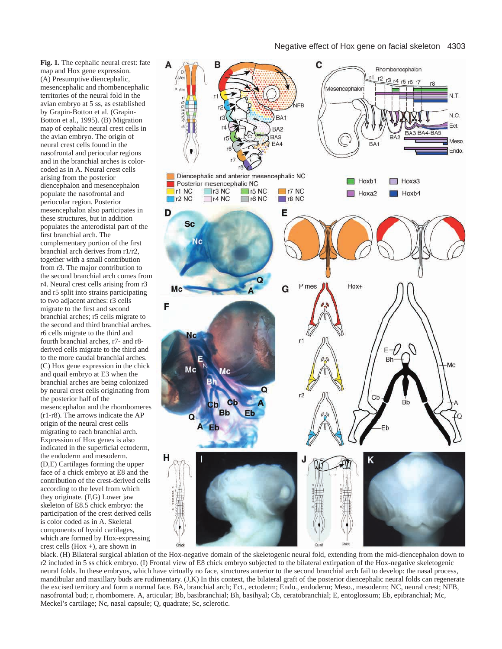**Fig. 1.** The cephalic neural crest: fate map and Hox gene expression. (A) Presumptive diencephalic, mesencephalic and rhombencephalic territories of the neural fold in the avian embryo at 5 ss, as established by Grapin-Botton et al. (Grapin-Botton et al., 1995). (B) Migration map of cephalic neural crest cells in the avian embryo. The origin of neural crest cells found in the nasofrontal and periocular regions and in the branchial arches is colorcoded as in A. Neural crest cells arising from the posterior diencephalon and mesencephalon populate the nasofrontal and periocular region. Posterior mesencephalon also participates in these structures, but in addition populates the anterodistal part of the first branchial arch. The complementary portion of the first branchial arch derives from r1/r2, together with a small contribution from r3. The major contribution to the second branchial arch comes from r4. Neural crest cells arising from r3 and r5 split into strains participating to two adjacent arches: r3 cells migrate to the first and second branchial arches; r5 cells migrate to the second and third branchial arches. r6 cells migrate to the third and fourth branchial arches, r7- and r8 derived cells migrate to the third and to the more caudal branchial arches. (C) Hox gene expression in the chick and quail embryo at E3 when the branchial arches are being colonized by neural crest cells originating from the posterior half of the mesencephalon and the rhombomeres (r1-r8). The arrows indicate the AP origin of the neural crest cells migrating to each branchial arch. Expression of Hox genes is also indicated in the superficial ectoderm, the endoderm and mesoderm. (D,E) Cartilages forming the upper face of a chick embryo at E8 and the contribution of the crest-derived cells according to the level from which they originate. (F,G) Lower jaw skeleton of E8.5 chick embryo: the participation of the crest derived cells is color coded as in A. Skeletal components of hyoid cartilages, which are formed by Hox-expressing crest cells  $(Hox +)$ , are shown in



black. (H) Bilateral surgical ablation of the Hox-negative domain of the skeletogenic neural fold, extending from the mid-diencephalon down to r2 included in 5 ss chick embryo. (I) Frontal view of E8 chick embryo subjected to the bilateral extirpation of the Hox-negative skeletogenic neural folds. In these embryos, which have virtually no face, structures anterior to the second branchial arch fail to develop: the nasal process, mandibular and maxillary buds are rudimentary. (J,K) In this context, the bilateral graft of the posterior diencephalic neural folds can regenerate the excised territory and form a normal face. BA, branchial arch; Ect., ectoderm; Endo., endoderm; Meso., mesoderm; NC, neural crest; NFB, nasofrontal bud; r, rhombomere. A, articular; Bb, basibranchial; Bh, basihyal; Cb, ceratobranchial; E, entoglossum; Eb, epibranchial; Mc, Meckel's cartilage; Nc, nasal capsule; Q, quadrate; Sc, sclerotic.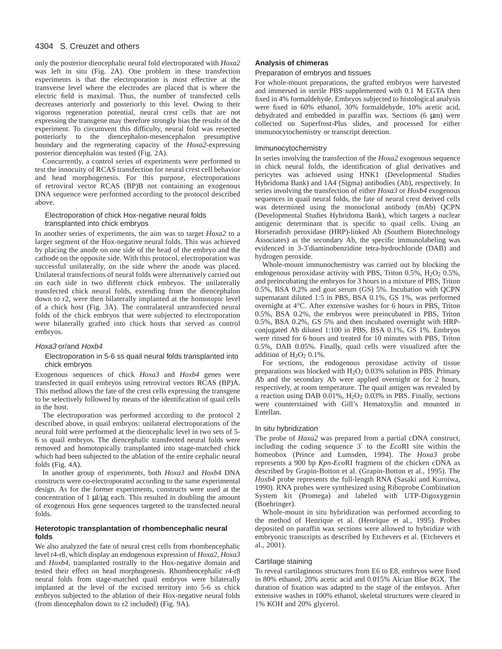only the posterior diencephalic neural fold electroporated with *Hoxa2* was left in situ (Fig. 2A). One problem in these transfection experiments is that the electroporation is most effective at the transverse level where the electrodes are placed that is where the electric field is maximal. Thus, the number of transfected cells decreases anteriorly and posteriorly to this level. Owing to their vigorous regeneration potential, neural crest cells that are not expressing the transgene may therefore strongly bias the results of the experiment. To circumvent this difficulty, neural fold was resected posteriorly to the diencephalon-mesencephalon presumptive boundary and the regenerating capacity of the *Hoxa2-*expressing posterior diencephalon was tested (Fig. 2A).

Concurrently, a control series of experiments were performed to test the innocuity of RCAS transfection for neural crest cell behavior and head morphogenesis. For this purpose, electroporations of retroviral vector RCAS (BP)B not containing an exogenous DNA sequence were performed according to the protocol described above.

#### Electroporation of chick Hox-negative neural folds transplanted into chick embryos

In another series of experiments, the aim was to target *Hoxa2* to a larger segment of the Hox*-*negative neural folds. This was achieved by placing the anode on one side of the head of the embryo and the cathode on the opposite side. With this protocol, electroporation was successful unilaterally, on the side where the anode was placed. Unilateral transfections of neural folds were alternatively carried out on each side in two different chick embryos. The unilaterally transfected chick neural folds, extending from the diencephalon down to r2, were then bilaterally implanted at the homotopic level of a chick host (Fig. 3A). The contralateral untransfected neural folds of the chick embryos that were subjected to electroporation were bilaterally grafted into chick hosts that served as control embryos.

#### Hoxa3 or/and Hoxb4

#### Electroporation in 5-6 ss quail neural folds transplanted into chick embryos

Exogenous sequences of chick *Hoxa3* and *Hoxb4* genes were transfected in quail embryos using retroviral vectors RCAS (BP)A. This method allows the fate of the crest cells expressing the transgene to be selectively followed by means of the identification of quail cells in the host.

The electroporation was performed according to the protocol 2 described above, in quail embryos: unilateral electroporations of the neural fold were performed at the diencephalic level in two sets of 5- 6 ss quail embryos. The diencephalic transfected neural folds were removed and homotopically transplanted into stage-matched chick which had been subjected to the ablation of the entire cephalic neural folds (Fig. 4A).

In another group of experiments, both *Hoxa3* and *Hoxb4* DNA constructs were co-electroporated according to the same experimental design. As for the former experiments, constructs were used at the concentration of  $1 \mu l/\mu g$  each. This resulted in doubling the amount of exogenous Hox gene sequences targeted to the transfected neural folds.

#### **Heterotopic transplantation of rhombencephalic neural folds**

We also analyzed the fate of neural crest cells from rhombencephalic level r4-r8, which display an endogenous expression of *Hoxa2*, *Hoxa3* and *Hoxb4*, transplanted rostrally to the Hox-negative domain and tested their effect on head morphogenesis. Rhombencephalic r4-r8 neural folds from stage-matched quail embryos were bilaterally implanted at the level of the excised territory into 5-6 ss chick embryos subjected to the ablation of their Hox-negative neural folds (from diencephalon down to r2 included) (Fig. 9A).

#### **Analysis of chimeras**

#### Preparation of embryos and tissues

For whole-mount preparations, the grafted embryos were harvested and immersed in sterile PBS supplemented with 0.1 M EGTA then fixed in 4% formaldehyde. Embryos subjected to histological analysis were fixed in 60% ethanol, 30% formaldehyde, 10% acetic acid, dehydrated and embedded in paraffin wax. Sections (6 µm) were collected on Superfrost-Plus slides, and processed for either immunocytochemistry or transcript detection.

#### Immunocytochemistry

In series involving the transfection of the *Hoxa2* exogenous sequence in chick neural folds, the identification of glial derivatives and pericytes was achieved using HNK1 (Developmental Studies Hybridoma Bank) and 1A4 (Sigma) antibodies (Ab), respectively. In series involving the transfection of either *Hoxa3* or *Hoxb4* exogenous sequences in quail neural folds, the fate of neural crest derived cells was determined using the monoclonal antibody (mAb) QCPN (Developmental Studies Hybridoma Bank), which targets a nuclear antigenic determinant that is specific to quail cells. Using an Horseradish peroxidase (HRP)-linked Ab (Southern Biotechnology Associates) as the secondary Ab, the specific immunolabeling was evidenced in 3-3′diaminobenzidine tetra-hydrochloride (DAB) and hydrogen peroxide.

Whole-mount immunochemistry was carried out by blocking the endogenous peroxidase activity with PBS, Triton  $0.5\%$ ,  $H_2O_2$   $0.5\%$ , and preincubating the embryos for 3 hours in a mixture of PBS, Triton 0.5%, BSA 0.2% and goat serum (GS) 5%. Incubation with QCPN supernatant diluted 1:5 in PBS, BSA 0.1%, GS 1%, was performed overnight at 4°C. After extensive washes for 6 hours in PBS, Triton 0.5%, BSA 0.2%, the embryos were preincubated in PBS, Triton 0.5%, BSA 0.2%, GS 5% and then incubated overnight with HRPconjugated Ab diluted 1:100 in PBS, BSA 0.1%, GS 1%. Embryos were rinsed for 6 hours and treated for 10 minutes with PBS, Triton 0.5%, DAB 0.05%. Finally, quail cells were visualized after the addition of  $H<sub>2</sub>O<sub>2</sub> 0.1%$ .

For sections, the endogenous peroxidase activity of tissue preparations was blocked with  $H_2O_2$  0.03% solution in PBS. Primary Ab and the secondary Ab were applied overnight or for 2 hours, respectively, at room temperature. The quail antigen was revealed by a reaction using DAB 0.01%, H2O2 0.03% in PBS. Finally, sections were counterstained with Gill's Hematoxylin and mounted in Entellan.

#### In situ hybridization

The probe of *Hoxa2* was prepared from a partial cDNA construct, including the coding sequence 3′ to the *Eco*RI site within the homeobox (Prince and Lumsden, 1994). The *Hoxa3* probe represents a 900 bp *Kpn-Eco*RI fragment of the chicken cDNA as described by Grapin-Botton et al. (Grapin-Botton et al., 1995). The *Hoxb4* probe represents the full-length RNA (Sasaki and Kuroiwa, 1990). RNA probes were synthesized using Riboprobe Combination System kit (Promega) and labeled with UTP-Digoxygenin (Boehringer).

Whole-mount in situ hybridization was performed according to the method of Henrique et al. (Henrique et al., 1995). Probes deposited on paraffin wax sections were allowed to hybridize with embryonic transcripts as described by Etchevers et al. (Etchevers et al., 2001).

#### Cartilage staining

To reveal cartilaginous structures from E6 to E8, embryos were fixed in 80% ethanol, 20% acetic acid and 0.015% Alcian Blue 8GX. The duration of fixation was adapted to the stage of the embryos. After extensive washes in 100% ethanol, skeletal structures were cleared in 1% KOH and 20% glycerol.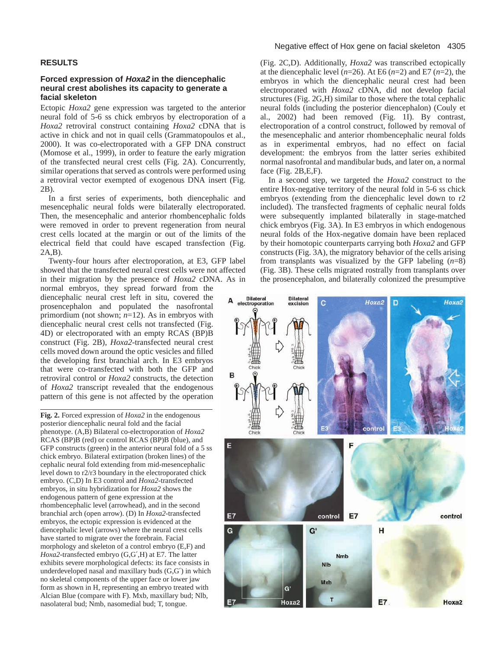# **RESULTS**

## **Forced expression of Hoxa2 in the diencephalic neural crest abolishes its capacity to generate a facial skeleton**

Ectopic *Hoxa2* gene expression was targeted to the anterior neural fold of 5-6 ss chick embryos by electroporation of a *Hoxa2* retroviral construct containing *Hoxa2* cDNA that is active in chick and not in quail cells (Grammatopoulos et al., 2000). It was co-electroporated with a GFP DNA construct (Momose et al., 1999), in order to feature the early migration of the transfected neural crest cells (Fig. 2A). Concurrently, similar operations that served as controls were performed using a retroviral vector exempted of exogenous DNA insert (Fig. 2B).

In a first series of experiments, both diencephalic and mesencephalic neural folds were bilaterally electroporated. Then, the mesencephalic and anterior rhombencephalic folds were removed in order to prevent regeneration from neural crest cells located at the margin or out of the limits of the electrical field that could have escaped transfection (Fig. 2A,B).

Twenty-four hours after electroporation, at E3, GFP label showed that the transfected neural crest cells were not affected in their migration by the presence of *Hoxa2* cDNA. As in

normal embryos, they spread forward from the diencephalic neural crest left in situ, covered the prosencephalon and populated the nasofrontal primordium (not shown; *n*=12). As in embryos with diencephalic neural crest cells not transfected (Fig. 4D) or electroporated with an empty RCAS (BP)B construct (Fig. 2B), *Hoxa2*-transfected neural crest cells moved down around the optic vesicles and filled the developing first branchial arch. In E3 embryos that were co-transfected with both the GFP and retroviral control or *Hoxa2* constructs, the detection of *Hoxa2* transcript revealed that the endogenous pattern of this gene is not affected by the operation

**Fig. 2.** Forced expression of *Hoxa2* in the endogenous posterior diencephalic neural fold and the facial phenotype. (A,B) Bilateral co-electroporation of *Hoxa2* RCAS (BP)B (red) or control RCAS (BP)B (blue), and GFP constructs (green) in the anterior neural fold of a 5 ss chick embryo. Bilateral extirpation (broken lines) of the cephalic neural fold extending from mid-mesencephalic level down to r2/r3 boundary in the electroporated chick embryo. (C,D) In E3 control and *Hoxa2*-transfected embryos, in situ hybridization for *Hoxa2* shows the endogenous pattern of gene expression at the rhombencephalic level (arrowhead), and in the second branchial arch (open arrow). (D) In *Hoxa2*-transfected embryos, the ectopic expression is evidenced at the diencephalic level (arrows) where the neural crest cells have started to migrate over the forebrain. Facial morphology and skeleton of a control embryo (E,F) and *Hoxa2*-transfected embryo (G,G′,H) at E7. The latter exhibits severe morphological defects: its face consists in underdeveloped nasal and maxillary buds (G,G′) in which no skeletal components of the upper face or lower jaw form as shown in H, representing an embryo treated with Alcian Blue (compare with F). Mxb, maxillary bud; Nlb, nasolateral bud; Nmb, nasomedial bud; T, tongue.

#### Negative effect of Hox gene on facial skeleton 4305

(Fig. 2C,D). Additionally, *Hoxa2* was transcribed ectopically at the diencephalic level  $(n=26)$ . At E6  $(n=2)$  and E7  $(n=2)$ , the embryos in which the diencephalic neural crest had been electroporated with *Hoxa2* cDNA, did not develop facial structures (Fig. 2G,H) similar to those where the total cephalic neural folds (including the posterior diencephalon) (Couly et al., 2002) had been removed (Fig. 1I). By contrast, electroporation of a control construct, followed by removal of the mesencephalic and anterior rhombencephalic neural folds as in experimental embryos, had no effect on facial development: the embryos from the latter series exhibited normal nasofrontal and mandibular buds, and later on, a normal face (Fig. 2B,E,F).

In a second step, we targeted the *Hoxa2* construct to the entire Hox-negative territory of the neural fold in 5-6 ss chick embryos (extending from the diencephalic level down to r2 included). The transfected fragments of cephalic neural folds were subsequently implanted bilaterally in stage-matched chick embryos (Fig. 3A). In E3 embryos in which endogenous neural folds of the Hox-negative domain have been replaced by their homotopic counterparts carrying both *Hoxa2* and GFP constructs (Fig. 3A), the migratory behavior of the cells arising from transplants was visualized by the GFP labeling (*n*=8) (Fig. 3B). These cells migrated rostrally from transplants over the prosencephalon, and bilaterally colonized the presumptive

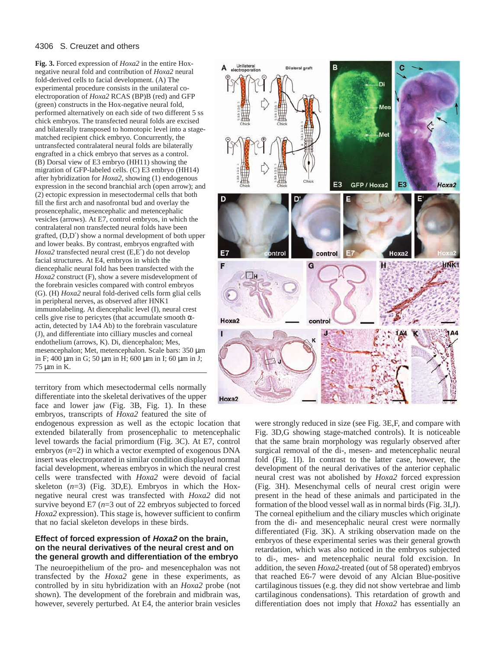**Fig. 3.** Forced expression of *Hoxa2* in the entire Hoxnegative neural fold and contribution of *Hoxa2* neural fold-derived cells to facial development. (A) The experimental procedure consists in the unilateral coelectroporation of *Hoxa2* RCAS (BP)B (red) and GFP (green) constructs in the Hox-negative neural fold, performed alternatively on each side of two different 5 ss chick embryos. The transfected neural folds are excised and bilaterally transposed to homotopic level into a stagematched recipient chick embryo. Concurrently, the untransfected contralateral neural folds are bilaterally engrafted in a chick embryo that serves as a control. (B) Dorsal view of E3 embryo (HH11) showing the migration of GFP-labeled cells. (C) E3 embryo (HH14) after hybridization for *Hoxa2*, showing (1) endogenous expression in the second branchial arch (open arrow); and (2) ectopic expression in mesectodermal cells that both fill the first arch and nasofrontal bud and overlay the prosencephalic, mesencephalic and metencephalic vesicles (arrows). At E7, control embryos, in which the contralateral non transfected neural folds have been grafted, (D,D′) show a normal development of both upper and lower beaks. By contrast, embryos engrafted with *Hoxa2* transfected neural crest (E,E′) do not develop facial structures. At E4, embryos in which the diencephalic neural fold has been transfected with the *Hoxa2* construct (F), show a severe misdevelopment of the forebrain vesicles compared with control embryos (G). (H) *Hoxa2* neural fold-derived cells form glial cells in peripheral nerves, as observed after HNK1 immunolabeling. At diencephalic level (I), neural crest cells give rise to pericytes (that accumulate smooth  $\alpha$ actin, detected by 1A4 Ab) to the forebrain vasculature (J), and differentiate into cilliary muscles and corneal endothelium (arrows, K). Di, diencephalon; Mes, mesencephalon; Met, metencephalon. Scale bars: 350 µm in F; 400 µm in G; 50 µm in H; 600 µm in I; 60 µm in J; 75 µm in K.

territory from which mesectodermal cells normally differentiate into the skeletal derivatives of the upper face and lower jaw (Fig. 3B, Fig. 1). In these embryos, transcripts of *Hoxa2* featured the site of

endogenous expression as well as the ectopic location that extended bilaterally from prosencephalic to metencephalic level towards the facial primordium (Fig. 3C). At E7, control embryos (*n*=2) in which a vector exempted of exogenous DNA insert was electroporated in similar condition displayed normal facial development, whereas embryos in which the neural crest cells were transfected with *Hoxa2* were devoid of facial skeleton  $(n=3)$  (Fig. 3D,E). Embryos in which the Hoxnegative neural crest was transfected with *Hoxa2* did not survive beyond E7 (*n*=3 out of 22 embryos subjected to forced *Hoxa2* expression). This stage is, however sufficient to confirm that no facial skeleton develops in these birds.

# **Effect of forced expression of Hoxa2 on the brain, on the neural derivatives of the neural crest and on the general growth and differentiation of the embryo**

The neuroepithelium of the pro- and mesencephalon was not transfected by the *Hoxa2* gene in these experiments, as controlled by in situ hybridization with an *Hoxa2* probe (not shown). The development of the forebrain and midbrain was, however, severely perturbed. At E4, the anterior brain vesicles



were strongly reduced in size (see Fig. 3E,F, and compare with Fig. 3D,G showing stage-matched controls). It is noticeable that the same brain morphology was regularly observed after surgical removal of the di-, mesen- and metencephalic neural fold (Fig. 1I). In contrast to the latter case, however, the development of the neural derivatives of the anterior cephalic neural crest was not abolished by *Hoxa2* forced expression (Fig. 3H). Mesenchymal cells of neural crest origin were present in the head of these animals and participated in the formation of the blood vessel wall as in normal birds (Fig. 3I,J). The corneal epithelium and the ciliary muscles which originate from the di- and mesencephalic neural crest were normally differentiated (Fig. 3K). A striking observation made on the embryos of these experimental series was their general growth retardation, which was also noticed in the embryos subjected to di-, mes- and metencephalic neural fold excision. In addition, the seven *Hoxa2*-treated (out of 58 operated) embryos that reached E6-7 were devoid of any Alcian Blue-positive cartilaginous tissues (e.g. they did not show vertebrae and limb cartilaginous condensations). This retardation of growth and differentiation does not imply that *Hoxa2* has essentially an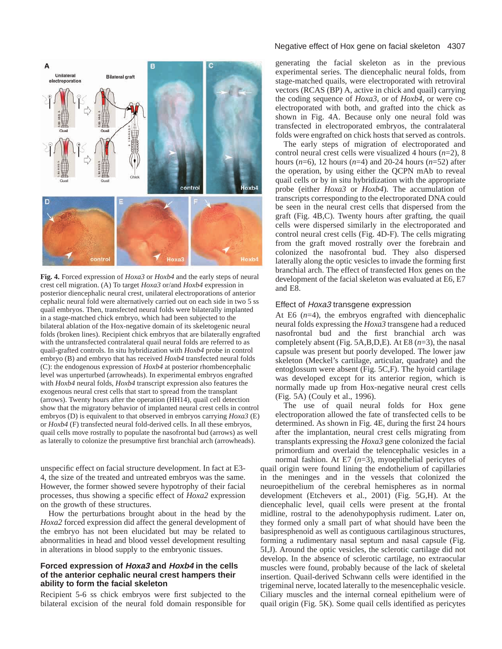

**Fig. 4.** Forced expression of *Hoxa3* or *Hoxb4* and the early steps of neural crest cell migration. (A) To target *Hoxa3* or/and *Hoxb4* expression in posterior diencephalic neural crest, unilateral electroporations of anterior cephalic neural fold were alternatively carried out on each side in two 5 ss quail embryos. Then, transfected neural folds were bilaterally implanted in a stage-matched chick embryo, which had been subjected to the bilateral ablation of the Hox-negative domain of its skeletogenic neural folds (broken lines). Recipient chick embryos that are bilaterally engrafted with the untransfected contralateral quail neural folds are referred to as quail-grafted controls. In situ hybridization with *Hoxb4* probe in control embryo (B) and embryo that has received *Hoxb4* transfected neural folds (C): the endogenous expression of *Hoxb4* at posterior rhombencephalic level was unperturbed (arrowheads). In experimental embryos engrafted with *Hoxb4* neural folds, *Hoxb4* transcript expression also features the exogenous neural crest cells that start to spread from the transplant (arrows). Twenty hours after the operation (HH14), quail cell detection show that the migratory behavior of implanted neural crest cells in control embryos (D) is equivalent to that observed in embryos carrying *Hoxa3* (E) or *Hoxb4* (F) transfected neural fold-derived cells. In all these embryos, quail cells move rostrally to populate the nasofrontal bud (arrows) as well as laterally to colonize the presumptive first branchial arch (arrowheads).

unspecific effect on facial structure development. In fact at E3- 4, the size of the treated and untreated embryos was the same. However, the former showed severe hypotrophy of their facial processes, thus showing a specific effect of *Hoxa2* expression on the growth of these structures.

How the perturbations brought about in the head by the *Hoxa2* forced expression did affect the general development of the embryo has not been elucidated but may be related to abnormalities in head and blood vessel development resulting in alterations in blood supply to the embryonic tissues.

# **Forced expression of Hoxa3 and Hoxb4 in the cells of the anterior cephalic neural crest hampers their ability to form the facial skeleton**

Recipient 5-6 ss chick embryos were first subjected to the bilateral excision of the neural fold domain responsible for

#### Negative effect of Hox gene on facial skeleton 4307

generating the facial skeleton as in the previous experimental series. The diencephalic neural folds, from stage-matched quails, were electroporated with retroviral vectors (RCAS (BP) A, active in chick and quail) carrying the coding sequence of *Hoxa3*, or of *Hoxb4*, or were coelectroporated with both, and grafted into the chick as shown in Fig. 4A. Because only one neural fold was transfected in electroporated embryos, the contralateral folds were engrafted on chick hosts that served as controls.

The early steps of migration of electroporated and control neural crest cells were visualized 4 hours (*n*=2), 8 hours (*n*=6), 12 hours (*n*=4) and 20-24 hours (*n*=52) after the operation, by using either the QCPN mAb to reveal quail cells or by in situ hybridization with the appropriate probe (either *Hoxa3* or *Hoxb4*). The accumulation of transcripts corresponding to the electroporated DNA could be seen in the neural crest cells that dispersed from the graft (Fig. 4B,C). Twenty hours after grafting, the quail cells were dispersed similarly in the electroporated and control neural crest cells (Fig. 4D-F). The cells migrating from the graft moved rostrally over the forebrain and colonized the nasofrontal bud. They also dispersed laterally along the optic vesicles to invade the forming first branchial arch. The effect of transfected Hox genes on the development of the facial skeleton was evaluated at E6, E7 and E8.

#### Effect of Hoxa3 transgene expression

At E6  $(n=4)$ , the embryos engrafted with diencephalic neural folds expressing the *Hoxa3* transgene had a reduced nasofrontal bud and the first branchial arch was completely absent (Fig. 5A,B,D,E). At E8 (*n*=3), the nasal capsule was present but poorly developed. The lower jaw skeleton (Meckel's cartilage, articular, quadrate) and the entoglossum were absent (Fig. 5C,F). The hyoid cartilage was developed except for its anterior region, which is normally made up from Hox-negative neural crest cells (Fig. 5A) (Couly et al., 1996).

The use of quail neural folds for Hox gene electroporation allowed the fate of transfected cells to be determined. As shown in Fig. 4E, during the first 24 hours after the implantation, neural crest cells migrating from transplants expressing the *Hoxa3* gene colonized the facial primordium and overlaid the telencephalic vesicles in a normal fashion. At E7 (*n*=3), myoepithelial pericytes of quail origin were found lining the endothelium of capillaries in the meninges and in the vessels that colonized the neuroepithelium of the cerebral hemispheres as in normal development (Etchevers et al., 2001) (Fig. 5G,H). At the diencephalic level, quail cells were present at the frontal midline, rostral to the adenohypophysis rudiment. Later on, they formed only a small part of what should have been the basipresphenoid as well as contiguous cartilaginous structures, forming a rudimentary nasal septum and nasal capsule (Fig. 5I,J). Around the optic vesicles, the sclerotic cartilage did not develop. In the absence of sclerotic cartilage, no extraocular muscles were found, probably because of the lack of skeletal insertion. Quail-derived Schwann cells were identified in the trigeminal nerve, located laterally to the mesencephalic vesicle. Ciliary muscles and the internal corneal epithelium were of quail origin (Fig. 5K). Some quail cells identified as pericytes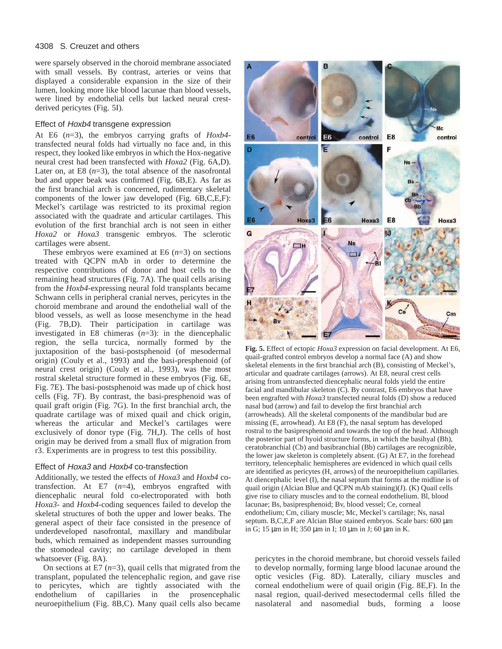were sparsely observed in the choroid membrane associated with small vessels. By contrast, arteries or veins that displayed a considerable expansion in the size of their lumen, looking more like blood lacunae than blood vessels, were lined by endothelial cells but lacked neural crestderived pericytes (Fig. 5I).

## Effect of Hoxb4 transgene expression

At E6 (*n*=3), the embryos carrying grafts of *Hoxb4* transfected neural folds had virtually no face and, in this respect, they looked like embryos in which the Hox-negative neural crest had been transfected with *Hoxa2* (Fig. 6A,D). Later on, at E8  $(n=3)$ , the total absence of the nasofrontal bud and upper beak was confirmed (Fig. 6B,E). As far as the first branchial arch is concerned, rudimentary skeletal components of the lower jaw developed (Fig. 6B,C,E,F): Meckel's cartilage was restricted to its proximal region associated with the quadrate and articular cartilages. This evolution of the first branchial arch is not seen in either *Hoxa2* or *Hoxa3* transgenic embryos. The sclerotic cartilages were absent.

These embryos were examined at E6  $(n=3)$  on sections treated with QCPN mAb in order to determine the respective contributions of donor and host cells to the remaining head structures (Fig. 7A). The quail cells arising from the *Hoxb4*-expressing neural fold transplants became Schwann cells in peripheral cranial nerves, pericytes in the choroid membrane and around the endothelial wall of the blood vessels, as well as loose mesenchyme in the head (Fig. 7B,D). Their participation in cartilage was investigated in E8 chimeras  $(n=3)$ : in the diencephalic region, the sella turcica, normally formed by the juxtaposition of the basi-postsphenoid (of mesodermal origin) (Couly et al., 1993) and the basi-presphenoid (of neural crest origin) (Couly et al., 1993), was the most rostral skeletal structure formed in these embryos (Fig. 6E, Fig. 7E). The basi-postsphenoid was made up of chick host cells (Fig. 7F). By contrast, the basi-presphenoid was of quail graft origin (Fig. 7G). In the first branchial arch, the quadrate cartilage was of mixed quail and chick origin, whereas the articular and Meckel's cartilages were exclusively of donor type (Fig. 7H,J). The cells of host origin may be derived from a small flux of migration from r3. Experiments are in progress to test this possibility.

## Effect of Hoxa3 and Hoxb4 co-transfection

Additionally, we tested the effects of *Hoxa3* and *Hoxb4* cotransfection. At E7 (*n*=4), embryos engrafted with diencephalic neural fold co-electroporated with both *Hoxa3*- and *Hoxb4*-coding sequences failed to develop the skeletal structures of both the upper and lower beaks. The general aspect of their face consisted in the presence of underdeveloped nasofrontal, maxillary and mandibular buds, which remained as independent masses surrounding the stomodeal cavity; no cartilage developed in them whatsoever (Fig. 8A).

On sections at E7  $(n=3)$ , quail cells that migrated from the transplant, populated the telencephalic region, and gave rise to pericytes, which are tightly associated with the endothelium of capillaries in the prosencephalic neuroepithelium (Fig. 8B,C). Many quail cells also became



**Fig. 5.** Effect of ectopic *Hoxa3* expression on facial development. At E6, quail-grafted control embryos develop a normal face (A) and show skeletal elements in the first branchial arch (B), consisting of Meckel's, articular and quadrate cartilages (arrows). At E8, neural crest cells arising from untransfected diencephalic neural folds yield the entire facial and mandibular skeleton (C). By contrast, E6 embryos that have been engrafted with *Hoxa3* transfected neural folds (D) show a reduced nasal bud (arrow) and fail to develop the first branchial arch (arrowheads). All the skeletal components of the mandibular bud are missing (E, arrowhead). At E8 (F), the nasal septum has developed rostral to the basipresphenoid and towards the top of the head. Although the posterior part of hyoid structure forms, in which the basihyal (Bh), ceratobranchial (Cb) and basibranchial (Bb) cartilages are recognizible, the lower jaw skeleton is completely absent. (G) At E7, in the forehead territory, telencephalic hemispheres are evidenced in which quail cells are identified as pericytes (H, arrows) of the neuroepithelium capillaries. At diencephalic level (I), the nasal septum that forms at the midline is of quail origin (Alcian Blue and QCPN mAb staining)(J). (K) Quail cells give rise to ciliary muscles and to the corneal endothelium. Bl, blood lacunae; Bs, basipresphenoid; Bv, blood vessel; Ce, corneal endothelium; Cm, ciliary muscle; Mc, Meckel's cartilage; Ns, nasal septum. B, C, E, F are Alcian Blue stained embryos. Scale bars: 600  $\mu$ m in G; 15 µm in H; 350 µm in I; 10 µm in J; 60 µm in K.

pericytes in the choroid membrane, but choroid vessels failed to develop normally, forming large blood lacunae around the optic vesicles (Fig. 8D). Laterally, ciliary muscles and corneal endothelium were of quail origin (Fig. 8E,F). In the nasal region, quail-derived mesectodermal cells filled the nasolateral and nasomedial buds, forming a loose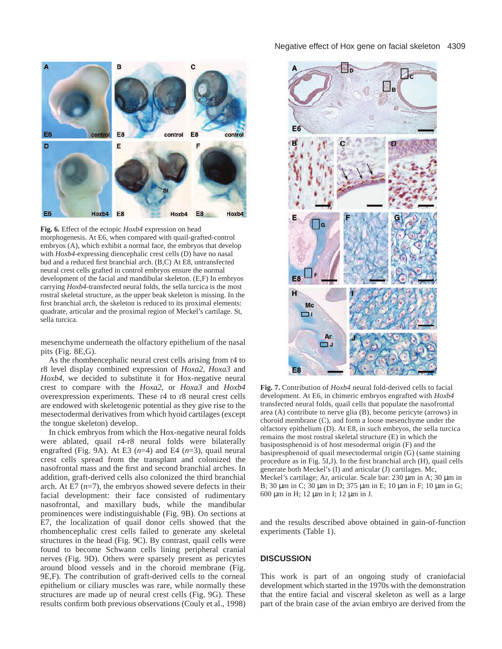

**Fig. 6.** Effect of the ectopic *Hoxb4* expression on head morphogenesis. At E6, when compared with quail-grafted-control embryos (A), which exhibit a normal face, the embryos that develop with *Hoxb4*-expressing diencephalic crest cells (D) have no nasal bud and a reduced first branchial arch. (B,C) At E8, untransfected neural crest cells grafted in control embryos ensure the normal development of the facial and mandibular skeleton. (E,F) In embryos carrying *Hoxb4*-transfected neural folds, the sella turcica is the most rostral skeletal structure, as the upper beak skeleton is missing. In the first branchial arch, the skeleton is reduced to its proximal elements: quadrate, articular and the proximal region of Meckel's cartilage. St, sella turcica.

mesenchyme underneath the olfactory epithelium of the nasal pits (Fig. 8E,G).

As the rhombencephalic neural crest cells arising from r4 to r8 level display combined expression of *Hoxa2*, *Hoxa3* and *Hoxb4*, we decided to substitute it for Hox-negative neural crest to compare with the *Hoxa2*, or *Hoxa3* and *Hoxb4* overexpression experiments. These r4 to r8 neural crest cells are endowed with skeletogenic potential as they give rise to the mesectodermal derivatives from which hyoid cartilages (except the tongue skeleton) develop.

In chick embryos from which the Hox-negative neural folds were ablated, quail r4-r8 neural folds were bilaterally engrafted (Fig. 9A). At E3 (*n*=4) and E4 (*n*=3), quail neural crest cells spread from the transplant and colonized the nasofrontal mass and the first and second branchial arches. In addition, graft-derived cells also colonized the third branchial arch. At E7 (*n*=7), the embryos showed severe defects in their facial development: their face consisted of rudimentary nasofrontal, and maxillary buds, while the mandibular prominences were indistinguishable (Fig. 9B). On sections at E7, the localization of quail donor cells showed that the rhombencephalic crest cells failed to generate any skeletal structures in the head (Fig. 9C). By contrast, quail cells were found to become Schwann cells lining peripheral cranial nerves (Fig. 9D). Others were sparsely present as pericytes around blood vessels and in the choroid membrane (Fig. 9E,F). The contribution of graft-derived cells to the corneal epithelium or ciliary muscles was rare, while normally these structures are made up of neural crest cells (Fig. 9G). These results confirm both previous observations (Couly et al., 1998)

#### Negative effect of Hox gene on facial skeleton 4309



**Fig. 7.** Contribution of *Hoxb4* neural fold-derived cells to facial development. At E6, in chimeric embryos engrafted with *Hoxb4* transfected neural folds, quail cells that populate the nasofrontal area (A) contribute to nerve glia (B), become pericyte (arrows) in choroid membrane (C), and form a loose mesenchyme under the olfactory epithelium (D). At E8, in such embryos, the sella turcica remains the most rostral skeletal structure (E) in which the basipostsphenoid is of host mesodermal origin (F) and the basipresphenoid of quail mesectodermal origin (G) (same staining procedure as in Fig. 5I,J). In the first branchial arch (H), quail cells generate both Meckel's (I) and articular (J) cartilages. Mc, Meckel's cartilage; Ar, articular. Scale bar: 230 µm in A; 30 µm in B; 30 μm in C; 30 μm in D; 375 μm in E; 10 μm in F; 10 μm in G; 600 µm in H; 12 µm in I; 12 µm in J.

and the results described above obtained in gain-of-function experiments (Table 1).

## **DISCUSSION**

This work is part of an ongoing study of craniofacial development which started in the 1970s with the demonstration that the entire facial and visceral skeleton as well as a large part of the brain case of the avian embryo are derived from the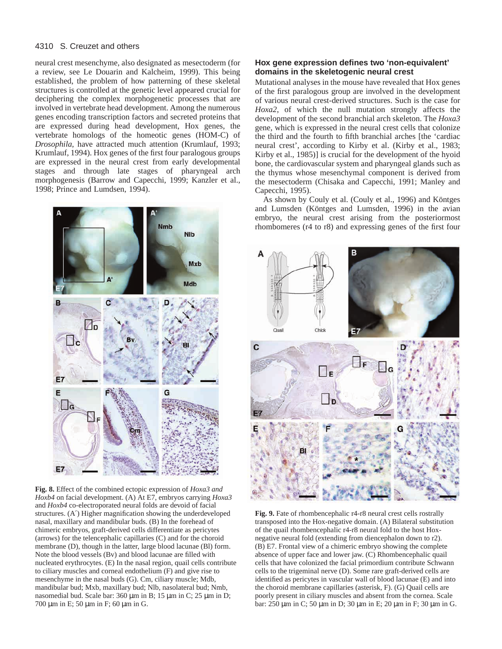neural crest mesenchyme, also designated as mesectoderm (for a review, see Le Douarin and Kalcheim, 1999). This being established, the problem of how patterning of these skeletal structures is controlled at the genetic level appeared crucial for deciphering the complex morphogenetic processes that are involved in vertebrate head development. Among the numerous genes encoding transcription factors and secreted proteins that are expressed during head development, Hox genes, the vertebrate homologs of the homeotic genes (HOM-C) of *Drosophila*, have attracted much attention (Krumlauf, 1993; Krumlauf, 1994). Hox genes of the first four paralogous groups are expressed in the neural crest from early developmental stages and through late stages of pharyngeal arch morphogenesis (Barrow and Capecchi, 1999; Kanzler et al., 1998; Prince and Lumdsen, 1994).



**Fig. 8.** Effect of the combined ectopic expression of *Hoxa3 and Hoxb4* on facial development. (A) At E7, embryos carrying *Hoxa3* and *Hoxb4* co-electroporated neural folds are devoid of facial structures. (A′) Higher magnification showing the underdeveloped nasal, maxillary and mandibular buds. (B) In the forehead of chimeric embryos, graft-derived cells differentiate as pericytes (arrows) for the telencephalic capillaries (C) and for the choroid membrane (D), though in the latter, large blood lacunae (Bl) form. Note the blood vessels (Bv) and blood lacunae are filled with nucleated erythrocytes. (E) In the nasal region, quail cells contribute to ciliary muscles and corneal endothelium (F) and give rise to mesenchyme in the nasal buds (G). Cm, ciliary muscle; Mdb, mandibular bud; Mxb, maxillary bud; Nlb, nasolateral bud; Nmb, nasomedial bud. Scale bar: 360 µm in B; 15 µm in C; 25 µm in D; 700 µm in E; 50 µm in F; 60 µm in G.

## **Hox gene expression defines two 'non-equivalent' domains in the skeletogenic neural crest**

Mutational analyses in the mouse have revealed that Hox genes of the first paralogous group are involved in the development of various neural crest-derived structures. Such is the case for *Hoxa2*, of which the null mutation strongly affects the development of the second branchial arch skeleton. The *Hoxa3* gene, which is expressed in the neural crest cells that colonize the third and the fourth to fifth branchial arches [the 'cardiac neural crest', according to Kirby et al. (Kirby et al., 1983; Kirby et al., 1985)] is crucial for the development of the hyoid bone, the cardiovascular system and pharyngeal glands such as the thymus whose mesenchymal component is derived from the mesectoderm (Chisaka and Capecchi, 1991; Manley and Capecchi, 1995).

As shown by Couly et al. (Couly et al., 1996) and Köntges and Lumsden (Köntges and Lumsden, 1996) in the avian embryo, the neural crest arising from the posteriormost rhombomeres (r4 to r8) and expressing genes of the first four



**Fig. 9.** Fate of rhombencephalic r4-r8 neural crest cells rostrally transposed into the Hox-negative domain. (A) Bilateral substitution of the quail rhombencephalic r4-r8 neural fold to the host Hoxnegative neural fold (extending from diencephalon down to r2). (B) E7. Frontal view of a chimeric embryo showing the complete absence of upper face and lower jaw. (C) Rhombencephalic quail cells that have colonized the facial primordium contribute Schwann cells to the trigeminal nerve (D). Some rare graft-derived cells are identified as pericytes in vascular wall of blood lacunae (E) and into the choroid membrane capillaries (asterisk, F). (G) Quail cells are poorly present in ciliary muscles and absent from the cornea. Scale bar: 250 µm in C; 50 µm in D; 30 µm in E; 20 µm in F; 30 µm in G.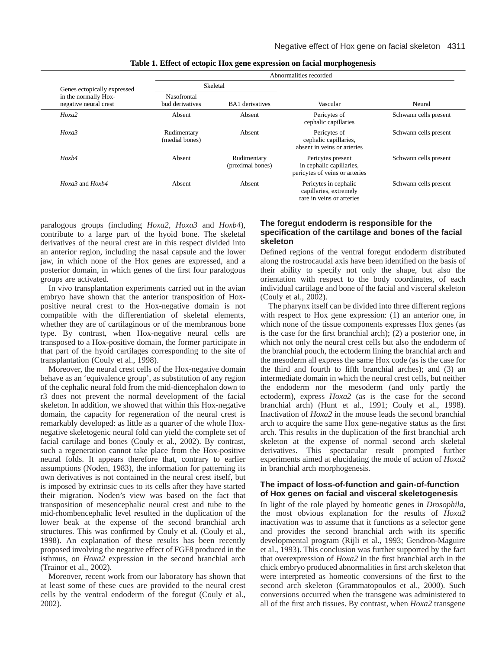| Genes ectopically expressed<br>in the normally Hox-<br>negative neural crest | Abnormalities recorded         |                                 |                                                                                 |                       |
|------------------------------------------------------------------------------|--------------------------------|---------------------------------|---------------------------------------------------------------------------------|-----------------------|
|                                                                              | Skeletal                       |                                 |                                                                                 |                       |
|                                                                              | Nasofrontal<br>bud derivatives | <b>BA1</b> derivatives          | Vascular                                                                        | Neural                |
| Hoxa2                                                                        | Absent                         | Absent                          | Pericytes of<br>cephalic capillaries                                            | Schwann cells present |
| Hoxa3                                                                        | Rudimentary<br>(medial bones)  | Absent                          | Pericytes of<br>cephalic capillaries,<br>absent in veins or arteries            | Schwann cells present |
| Hoxb4                                                                        | Absent                         | Rudimentary<br>(proximal bones) | Pericytes present<br>in cephalic capillaries,<br>pericytes of veins or arteries | Schwann cells present |
| Hoxa3 and Hoxb4                                                              | Absent                         | Absent                          | Pericytes in cephalic<br>capillaries, extremely<br>rare in veins or arteries    | Schwann cells present |

**Table 1. Effect of ectopic Hox gene expression on facial morphogenesis**

paralogous groups (including *Hoxa2*, *Hoxa3* and *Hoxb4*), contribute to a large part of the hyoid bone. The skeletal derivatives of the neural crest are in this respect divided into an anterior region, including the nasal capsule and the lower jaw, in which none of the Hox genes are expressed, and a posterior domain, in which genes of the first four paralogous groups are activated.

In vivo transplantation experiments carried out in the avian embryo have shown that the anterior transposition of Hoxpositive neural crest to the Hox-negative domain is not compatible with the differentiation of skeletal elements, whether they are of cartilaginous or of the membranous bone type. By contrast, when Hox-negative neural cells are transposed to a Hox-positive domain, the former participate in that part of the hyoid cartilages corresponding to the site of transplantation (Couly et al., 1998).

Moreover, the neural crest cells of the Hox-negative domain behave as an 'equivalence group', as substitution of any region of the cephalic neural fold from the mid-diencephalon down to r3 does not prevent the normal development of the facial skeleton. In addition, we showed that within this Hox-negative domain, the capacity for regeneration of the neural crest is remarkably developed: as little as a quarter of the whole Hoxnegative skeletogenic neural fold can yield the complete set of facial cartilage and bones (Couly et al., 2002). By contrast, such a regeneration cannot take place from the Hox-positive neural folds. It appears therefore that, contrary to earlier assumptions (Noden, 1983), the information for patterning its own derivatives is not contained in the neural crest itself, but is imposed by extrinsic cues to its cells after they have started their migration. Noden's view was based on the fact that transposition of mesencephalic neural crest and tube to the mid-rhombencephalic level resulted in the duplication of the lower beak at the expense of the second branchial arch structures. This was confirmed by Couly et al. (Couly et al., 1998). An explanation of these results has been recently proposed involving the negative effect of FGF8 produced in the isthmus, on *Hoxa2* expression in the second branchial arch (Trainor et al., 2002).

Moreover, recent work from our laboratory has shown that at least some of these cues are provided to the neural crest cells by the ventral endoderm of the foregut (Couly et al., 2002).

# **The foregut endoderm is responsible for the specification of the cartilage and bones of the facial skeleton**

Defined regions of the ventral foregut endoderm distributed along the rostrocaudal axis have been identified on the basis of their ability to specify not only the shape, but also the orientation with respect to the body coordinates, of each individual cartilage and bone of the facial and visceral skeleton (Couly et al., 2002).

The pharynx itself can be divided into three different regions with respect to Hox gene expression: (1) an anterior one, in which none of the tissue components expresses Hox genes (as is the case for the first branchial arch); (2) a posterior one, in which not only the neural crest cells but also the endoderm of the branchial pouch, the ectoderm lining the branchial arch and the mesoderm all express the same Hox code (as is the case for the third and fourth to fifth branchial arches); and (3) an intermediate domain in which the neural crest cells, but neither the endoderm nor the mesoderm (and only partly the ectoderm), express *Hoxa2* (as is the case for the second branchial arch) (Hunt et al., 1991; Couly et al., 1998). Inactivation of *Hoxa2* in the mouse leads the second branchial arch to acquire the same Hox gene-negative status as the first arch. This results in the duplication of the first branchial arch skeleton at the expense of normal second arch skeletal derivatives. This spectacular result prompted further experiments aimed at elucidating the mode of action of *Hoxa2* in branchial arch morphogenesis.

# **The impact of loss-of-function and gain-of-function of Hox genes on facial and visceral skeletogenesis**

In light of the role played by homeotic genes in *Drosophila*, the most obvious explanation for the results of *Hoxa2* inactivation was to assume that it functions as a selector gene and provides the second branchial arch with its specific developmental program (Rijli et al., 1993; Gendron-Maguire et al., 1993). This conclusion was further supported by the fact that overexpression of *Hoxa2* in the first branchial arch in the chick embryo produced abnormalities in first arch skeleton that were interpreted as homeotic conversions of the first to the second arch skeleton (Grammatopoulos et al., 2000). Such conversions occurred when the transgene was administered to all of the first arch tissues. By contrast, when *Hoxa2* transgene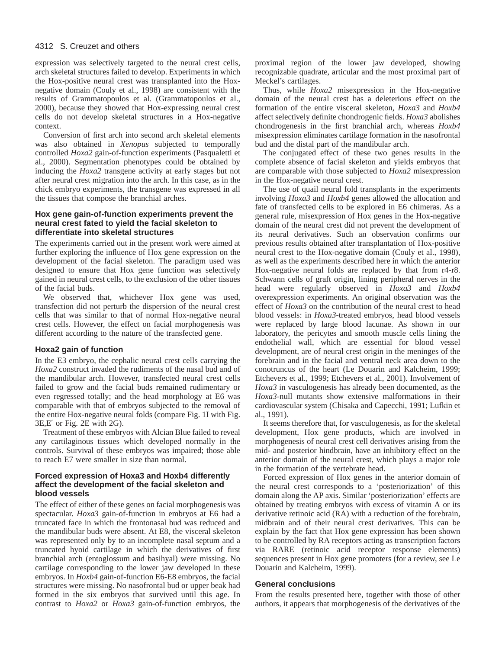expression was selectively targeted to the neural crest cells, arch skeletal structures failed to develop. Experiments in which the Hox-positive neural crest was transplanted into the Hoxnegative domain (Couly et al., 1998) are consistent with the results of Grammatopoulos et al. (Grammatopoulos et al., 2000), because they showed that Hox-expressing neural crest cells do not develop skeletal structures in a Hox-negative context.

Conversion of first arch into second arch skeletal elements was also obtained in *Xenopus* subjected to temporally controlled *Hoxa2* gain-of-function experiments (Pasqualetti et al., 2000). Segmentation phenotypes could be obtained by inducing the *Hoxa2* transgene activity at early stages but not after neural crest migration into the arch. In this case, as in the chick embryo experiments, the transgene was expressed in all the tissues that compose the branchial arches.

## **Hox gene gain-of-function experiments prevent the neural crest fated to yield the facial skeleton to differentiate into skeletal structures**

The experiments carried out in the present work were aimed at further exploring the influence of Hox gene expression on the development of the facial skeleton. The paradigm used was designed to ensure that Hox gene function was selectively gained in neural crest cells, to the exclusion of the other tissues of the facial buds.

We observed that, whichever Hox gene was used, transfection did not perturb the dispersion of the neural crest cells that was similar to that of normal Hox-negative neural crest cells. However, the effect on facial morphogenesis was different according to the nature of the transfected gene.

## **Hoxa2 gain of function**

In the E3 embryo, the cephalic neural crest cells carrying the *Hoxa2* construct invaded the rudiments of the nasal bud and of the mandibular arch. However, transfected neural crest cells failed to grow and the facial buds remained rudimentary or even regressed totally; and the head morphology at E6 was comparable with that of embryos subjected to the removal of the entire Hox-negative neural folds (compare Fig. 1I with Fig. 3E,E′ or Fig. 2E with 2G).

Treatment of these embryos with Alcian Blue failed to reveal any cartilaginous tissues which developed normally in the controls. Survival of these embryos was impaired; those able to reach E7 were smaller in size than normal.

# **Forced expression of Hoxa3 and Hoxb4 differently affect the development of the facial skeleton and blood vessels**

The effect of either of these genes on facial morphogenesis was spectacular. *Hoxa3* gain-of-function in embryos at E6 had a truncated face in which the frontonasal bud was reduced and the mandibular buds were absent. At E8, the visceral skeleton was represented only by to an incomplete nasal septum and a truncated hyoid cartilage in which the derivatives of first branchial arch (entoglossum and basihyal) were missing. No cartilage corresponding to the lower jaw developed in these embryos. In *Hoxb4* gain-of-function E6-E8 embryos, the facial structures were missing. No nasofrontal bud or upper beak had formed in the six embryos that survived until this age. In contrast to *Hoxa2* or *Hoxa3* gain-of-function embryos, the

proximal region of the lower jaw developed, showing recognizable quadrate, articular and the most proximal part of Meckel's cartilages.

Thus, while *Hoxa2* misexpression in the Hox-negative domain of the neural crest has a deleterious effect on the formation of the entire visceral skeleton, *Hoxa3* and *Hoxb4* affect selectively definite chondrogenic fields. *Hoxa3* abolishes chondrogenesis in the first branchial arch, whereas *Hoxb4* misexpression eliminates cartilage formation in the nasofrontal bud and the distal part of the mandibular arch.

The conjugated effect of these two genes results in the complete absence of facial skeleton and yields embryos that are comparable with those subjected to *Hoxa2* misexpression in the Hox-negative neural crest.

The use of quail neural fold transplants in the experiments involving *Hoxa3* and *Hoxb4* genes allowed the allocation and fate of transfected cells to be explored in E6 chimeras. As a general rule, misexpression of Hox genes in the Hox-negative domain of the neural crest did not prevent the development of its neural derivatives. Such an observation confirms our previous results obtained after transplantation of Hox-positive neural crest to the Hox-negative domain (Couly et al., 1998), as well as the experiments described here in which the anterior Hox-negative neural folds are replaced by that from r4-r8. Schwann cells of graft origin, lining peripheral nerves in the head were regularly observed in *Hoxa3* and *Hoxb4* overexpression experiments. An original observation was the effect of *Hoxa3* on the contribution of the neural crest to head blood vessels: in *Hoxa3*-treated embryos, head blood vessels were replaced by large blood lacunae. As shown in our laboratory, the pericytes and smooth muscle cells lining the endothelial wall, which are essential for blood vessel development, are of neural crest origin in the meninges of the forebrain and in the facial and ventral neck area down to the conotruncus of the heart (Le Douarin and Kalcheim, 1999; Etchevers et al., 1999; Etchevers et al., 2001). Involvement of *Hoxa3* in vasculogenesis has already been documented, as the *Hoxa3*-null mutants show extensive malformations in their cardiovascular system (Chisaka and Capecchi, 1991; Lufkin et al., 1991).

It seems therefore that, for vasculogenesis, as for the skeletal development, Hox gene products, which are involved in morphogenesis of neural crest cell derivatives arising from the mid- and posterior hindbrain, have an inhibitory effect on the anterior domain of the neural crest, which plays a major role in the formation of the vertebrate head.

Forced expression of Hox genes in the anterior domain of the neural crest corresponds to a 'posteriorization' of this domain along the AP axis. Similar 'posteriorization' effects are obtained by treating embryos with excess of vitamin A or its derivative retinoic acid (RA) with a reduction of the forebrain, midbrain and of their neural crest derivatives. This can be explain by the fact that Hox gene expression has been shown to be controlled by RA receptors acting as transcription factors via RARE (retinoic acid receptor response elements) sequences present in Hox gene promoters (for a review, see Le Douarin and Kalcheim, 1999).

#### **General conclusions**

From the results presented here, together with those of other authors, it appears that morphogenesis of the derivatives of the